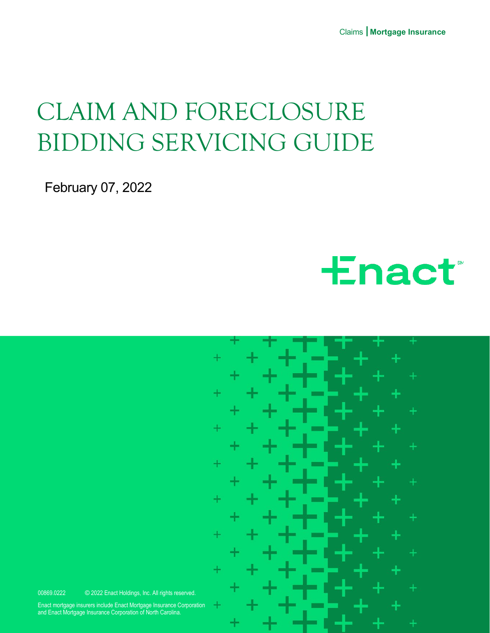Claims I **Mortgage Insurance**

## CLAIM AND FORECLOSURE BIDDING SERVICING GUIDE

February 07, 2022





00869.0222 © 2022 Enact Holdings, Inc. All rights reserved.

Enact mortgage insurers include Enact Mortgage Insurance Corporation and Enact Mortgage Insurance Corporation of North Carolina.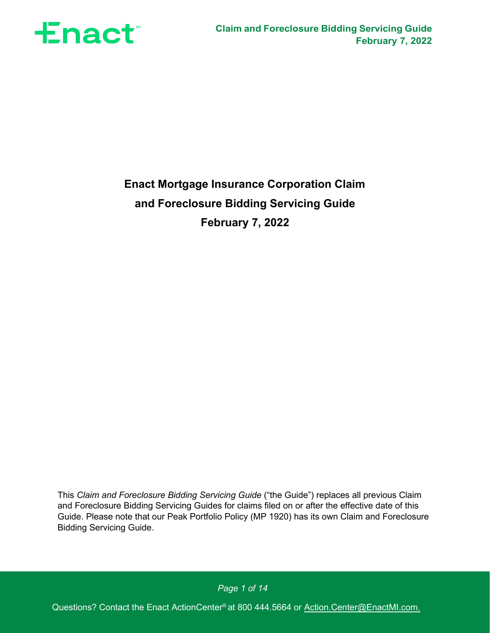

## **Enact Mortgage Insurance Corporation Claim and Foreclosure Bidding Servicing Guide February 7, 2022**

This *Claim and Foreclosure Bidding Servicing Guide* ("the Guide") replaces all previous Claim and Foreclosure Bidding Servicing Guides for claims filed on or after the effective date of this Guide. Please note that our Peak Portfolio Policy (MP 1920) has its own Claim and Foreclosure Bidding Servicing Guide.

*Page 1 of 14*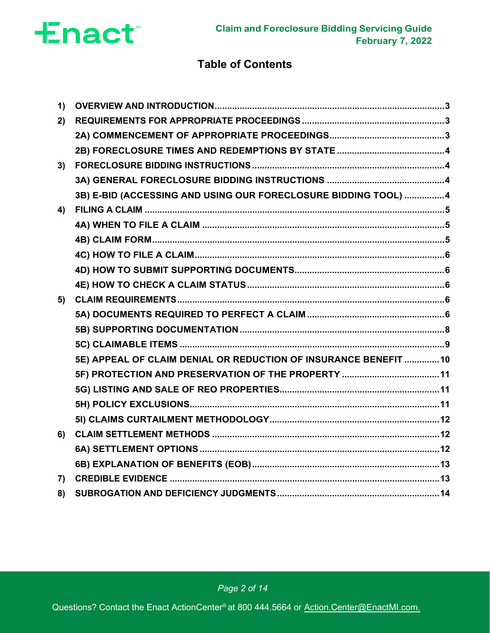

## **Table of Contents**

| 1)             |                                                                  |  |
|----------------|------------------------------------------------------------------|--|
| 2)             |                                                                  |  |
|                |                                                                  |  |
|                |                                                                  |  |
| 3)             |                                                                  |  |
|                |                                                                  |  |
|                | 3B) E-BID (ACCESSING AND USING OUR FORECLOSURE BIDDING TOOL) 4   |  |
| 4)             |                                                                  |  |
|                |                                                                  |  |
|                |                                                                  |  |
|                |                                                                  |  |
|                |                                                                  |  |
|                |                                                                  |  |
| 5)             |                                                                  |  |
|                |                                                                  |  |
|                |                                                                  |  |
|                |                                                                  |  |
|                | 5E) APPEAL OF CLAIM DENIAL OR REDUCTION OF INSURANCE BENEFIT  10 |  |
|                |                                                                  |  |
|                |                                                                  |  |
|                |                                                                  |  |
|                |                                                                  |  |
| 6)             |                                                                  |  |
|                |                                                                  |  |
|                |                                                                  |  |
| $\overline{7}$ |                                                                  |  |
| 8)             |                                                                  |  |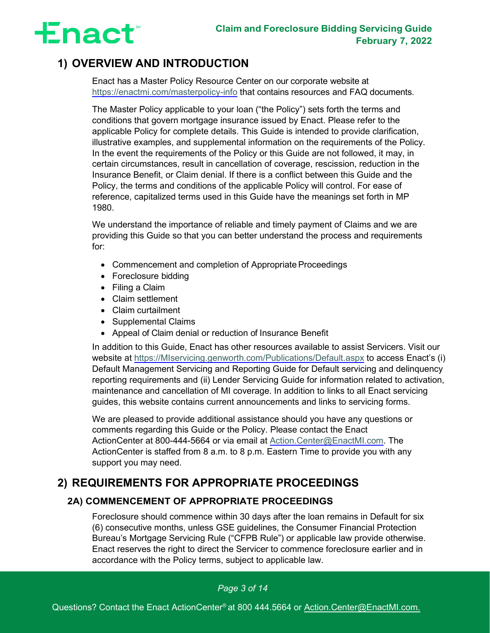

## <span id="page-3-0"></span>**1) OVERVIEW AND INTRODUCTION**

Enact has a Master Policy Resource Center on our corporate website at <https://enactmi.com/masterpolicy-info> that contains resources and FAQ documents.

The Master Policy applicable to your loan ("the Policy") sets forth the terms and conditions that govern mortgage insurance issued by Enact. Please refer to the applicable Policy for complete details. This Guide is intended to provide clarification, illustrative examples, and supplemental information on the requirements of the Policy. In the event the requirements of the Policy or this Guide are not followed, it may, in certain circumstances, result in cancellation of coverage, rescission, reduction in the Insurance Benefit, or Claim denial. If there is a conflict between this Guide and the Policy, the terms and conditions of the applicable Policy will control. For ease of reference, capitalized terms used in this Guide have the meanings set forth in MP 1980.

We understand the importance of reliable and timely payment of Claims and we are providing this Guide so that you can better understand the process and requirements for:

- Commencement and completion of Appropriate Proceedings
- Foreclosure bidding
- Filing a Claim
- Claim settlement
- Claim curtailment
- Supplemental Claims
- Appeal of Claim denial or reduction of Insurance Benefit

In addition to this Guide, Enact has other resources available to assist Servicers. Visit our website at [https://MIservicing.genworth.com/Publications/Default.aspx](https://miservicing.genworth.com/Publications/Default.aspx) to access Enact's (i) Default Management Servicing and Reporting Guide for Default servicing and delinquency reporting requirements and (ii) Lender Servicing Guide for information related to activation, maintenance and cancellation of MI coverage. In addition to links to all Enact servicing guides, this website contains current announcements and links to servicing forms.

We are pleased to provide additional assistance should you have any questions or comments regarding this Guide or the Policy. Please contact the Enact ActionCenter at 800-444-5664 or via email at Action.Center@EnactMI.com. The ActionCenter is staffed from 8 a.m. to 8 p.m. Eastern Time to provide you with any support you may need.

## <span id="page-3-2"></span><span id="page-3-1"></span>**2) REQUIREMENTS FOR APPROPRIATE PROCEEDINGS**

### **2A) COMMENCEMENT OF APPROPRIATE PROCEEDINGS**

Foreclosure should commence within 30 days after the loan remains in Default for six (6) consecutive months, unless GSE guidelines, the Consumer Financial Protection Bureau's Mortgage Servicing Rule ("CFPB Rule") or applicable law provide otherwise. Enact reserves the right to direct the Servicer to commence foreclosure earlier and in accordance with the Policy terms, subject to applicable law.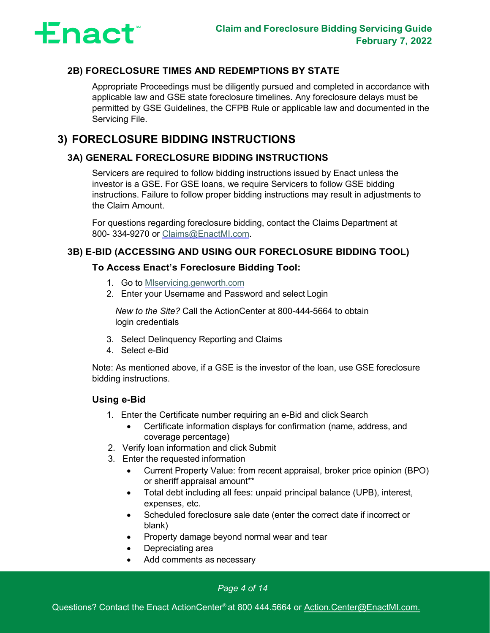

### <span id="page-4-0"></span>**2B) FORECLOSURE TIMES AND REDEMPTIONS BY STATE**

Appropriate Proceedings must be diligently pursued and completed in accordance with applicable law and GSE state foreclosure timelines. Any foreclosure delays must be permitted by GSE Guidelines, the CFPB Rule or applicable law and documented in the Servicing File.

## <span id="page-4-2"></span><span id="page-4-1"></span>**3) FORECLOSURE BIDDING INSTRUCTIONS**

### **3A) GENERAL FORECLOSURE BIDDING INSTRUCTIONS**

Servicers are required to follow bidding instructions issued by Enact unless the investor is a GSE. For GSE loans, we require Servicers to follow GSE bidding instructions. Failure to follow proper bidding instructions may result in adjustments to the Claim Amount.

For questions regarding foreclosure bidding, contact the Claims Department at 800- 334-9270 or [Claims@EnactMI.com.](mailto:gnw.claims@genworth.com)

### <span id="page-4-3"></span>**3B) E-BID (ACCESSING AND USING OUR FORECLOSURE BIDDING TOOL)**

### **To Access Enact's Foreclosure Bidding Tool:**

- 1. Go to [MIservicing.genworth.com](https://miservicing.genworth.com/)
- 2. Enter your Username and Password and select Login

*New to the Site?* Call the ActionCenter at 800-444-5664 to obtain login credentials

- 3. Select Delinquency Reporting and Claims
- 4. Select e-Bid

Note: As mentioned above, if a GSE is the investor of the loan, use GSE foreclosure bidding instructions.

### **Using e-Bid**

- 1. Enter the Certificate number requiring an e-Bid and click Search
	- Certificate information displays for confirmation (name, address, and coverage percentage)
- 2. Verify loan information and click Submit
- 3. Enter the requested information
	- Current Property Value: from recent appraisal, broker price opinion (BPO) or sheriff appraisal amount\*\*
	- Total debt including all fees: unpaid principal balance (UPB), interest, expenses, etc.
	- Scheduled foreclosure sale date (enter the correct date if incorrect or blank)
	- Property damage beyond normal wear and tear
	- Depreciating area
	- Add comments as necessary

### *Page 4 of 14*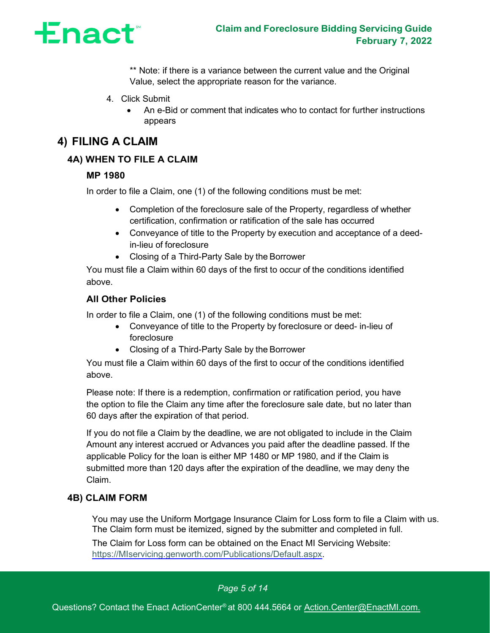

\*\* Note: if there is a variance between the current value and the Original Value, select the appropriate reason for the variance.

- 4. Click Submit
	- An e-Bid or comment that indicates who to contact for further instructions appears

## <span id="page-5-1"></span><span id="page-5-0"></span>**4) FILING A CLAIM**

### **4A) WHEN TO FILE A CLAIM**

### **MP 1980**

In order to file a Claim, one (1) of the following conditions must be met:

- Completion of the foreclosure sale of the Property, regardless of whether certification, confirmation or ratification of the sale has occurred
- Conveyance of title to the Property by execution and acceptance of a deedin-lieu of foreclosure
- Closing of a Third-Party Sale by the Borrower

You must file a Claim within 60 days of the first to occur of the conditions identified above.

### **All Other Policies**

In order to file a Claim, one (1) of the following conditions must be met:

- Conveyance of title to the Property by foreclosure or deed- in-lieu of foreclosure
- Closing of a Third-Party Sale by the Borrower

You must file a Claim within 60 days of the first to occur of the conditions identified above.

Please note: If there is a redemption, confirmation or ratification period, you have the option to file the Claim any time after the foreclosure sale date, but no later than 60 days after the expiration of that period.

If you do not file a Claim by the deadline, we are not obligated to include in the Claim Amount any interest accrued or Advances you paid after the deadline passed. If the applicable Policy for the loan is either MP 1480 or MP 1980, and if the Claim is submitted more than 120 days after the expiration of the deadline, we may deny the Claim.

### <span id="page-5-2"></span>**4B) CLAIM FORM**

You may use the Uniform Mortgage Insurance Claim for Loss form to file a Claim with us. The Claim form must be itemized, signed by the submitter and completed in full.

The Claim for Loss form can be obtained on the Enact MI Servicing Website: [https://MIservicing.genworth.com/Publications/Default.aspx.](https://miservicing.genworth.com/Publications/Default.aspx)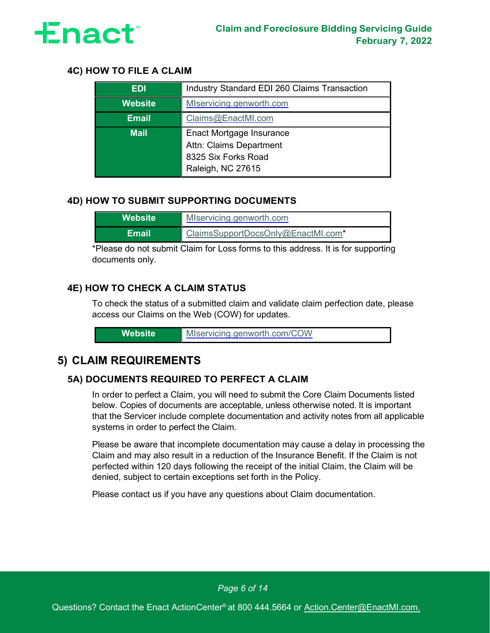

### <span id="page-6-0"></span>**4C) HOW TO FILE A CLAIM**

| <b>EDI</b>     | Industry Standard EDI 260 Claims Transaction |
|----------------|----------------------------------------------|
| <b>Website</b> | MIservicing.genworth.com                     |
| <b>Email</b>   | Claims@EnactMI.com                           |
| <b>Mail</b>    | Enact Mortgage Insurance                     |
|                | Attn: Claims Department                      |
|                | 8325 Six Forks Road                          |
|                | Raleigh, NC 27615                            |

### <span id="page-6-1"></span>**4D) HOW TO SUBMIT SUPPORTING DOCUMENTS**

| Website' | MIservicing.genworth.com           |
|----------|------------------------------------|
| Email    | ClaimsSupportDocsOnly@EnactMI.com* |

\*Please do not submit Claim for Loss forms to this address. It is for supporting documents only.

### <span id="page-6-2"></span>**4E) HOW TO CHECK A CLAIM STATUS**

To check the status of a submitted claim and validate claim perfection date, please access our Claims on the Web (COW) for updates.

| MIservicing.genworth.com/COW<br>\Website' |
|-------------------------------------------|
|-------------------------------------------|

## <span id="page-6-4"></span><span id="page-6-3"></span>**5) CLAIM REQUIREMENTS**

### **5A) DOCUMENTS REQUIRED TO PERFECT A CLAIM**

In order to perfect a Claim, you will need to submit the Core Claim Documents listed below. Copies of documents are acceptable, unless otherwise noted. It is important that the Servicer include complete documentation and activity notes from all applicable systems in order to perfect the Claim.

Please be aware that incomplete documentation may cause a delay in processing the Claim and may also result in a reduction of the Insurance Benefit. If the Claim is not perfected within 120 days following the receipt of the initial Claim, the Claim will be denied, subject to certain exceptions set forth in the Policy.

Please contact us if you have any questions about Claim documentation.

*Page 6 of 14*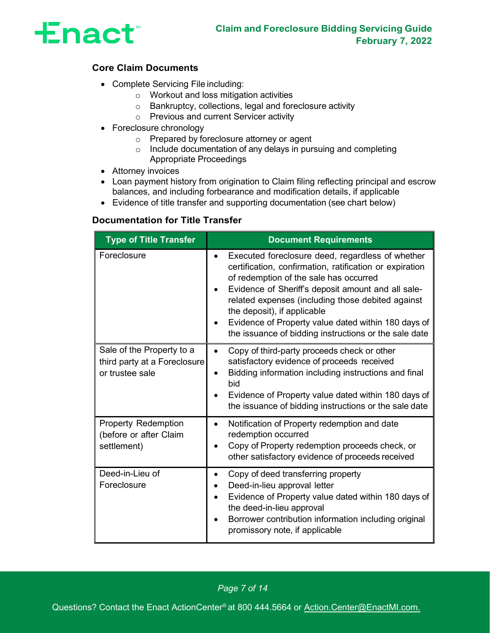

### **Core Claim Documents**

- Complete Servicing File including:
	- o Workout and loss mitigation activities
	- o Bankruptcy, collections, legal and foreclosure activity
	- o Previous and current Servicer activity
- Foreclosure chronology
	- o Prepared by foreclosure attorney or agent
	- o Include documentation of any delays in pursuing and completing Appropriate Proceedings
- Attorney invoices
- Loan payment history from origination to Claim filing reflecting principal and escrow balances, and including forbearance and modification details, if applicable
- Evidence of title transfer and supporting documentation (see chart below)

### **Documentation for Title Transfer**

| <b>Type of Title Transfer</b>                                                | <b>Document Requirements</b>                                                                                                                                                                                                                                                                                                                                                                                                                           |
|------------------------------------------------------------------------------|--------------------------------------------------------------------------------------------------------------------------------------------------------------------------------------------------------------------------------------------------------------------------------------------------------------------------------------------------------------------------------------------------------------------------------------------------------|
| Foreclosure                                                                  | Executed foreclosure deed, regardless of whether<br>$\bullet$<br>certification, confirmation, ratification or expiration<br>of redemption of the sale has occurred<br>Evidence of Sheriff's deposit amount and all sale-<br>$\bullet$<br>related expenses (including those debited against<br>the deposit), if applicable<br>Evidence of Property value dated within 180 days of<br>$\bullet$<br>the issuance of bidding instructions or the sale date |
| Sale of the Property to a<br>third party at a Foreclosure<br>or trustee sale | Copy of third-party proceeds check or other<br>$\bullet$<br>satisfactory evidence of proceeds received<br>Bidding information including instructions and final<br>$\bullet$<br>bid<br>Evidence of Property value dated within 180 days of<br>$\bullet$<br>the issuance of bidding instructions or the sale date                                                                                                                                        |
| <b>Property Redemption</b><br>(before or after Claim<br>settlement)          | Notification of Property redemption and date<br>$\bullet$<br>redemption occurred<br>Copy of Property redemption proceeds check, or<br>other satisfactory evidence of proceeds received                                                                                                                                                                                                                                                                 |
| Deed-in-Lieu of<br>Foreclosure                                               | Copy of deed transferring property<br>$\bullet$<br>Deed-in-lieu approval letter<br>٠<br>Evidence of Property value dated within 180 days of<br>$\bullet$<br>the deed-in-lieu approval<br>Borrower contribution information including original<br>$\bullet$<br>promissory note, if applicable                                                                                                                                                           |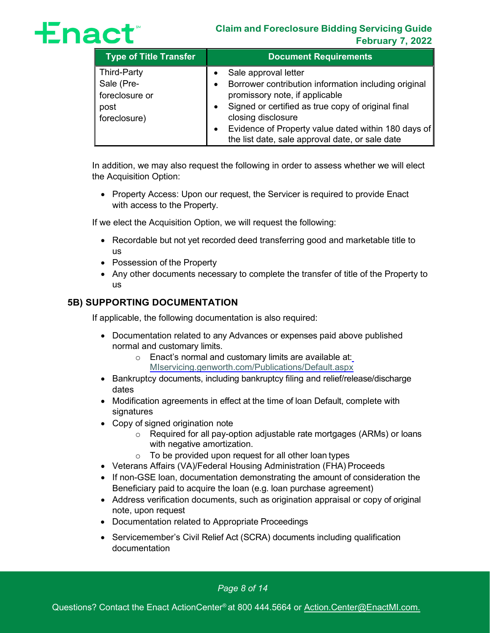# **Enact**

### **Claim and Foreclosure Bidding Servicing Guide February 7, 2022**

| <b>Type of Title Transfer</b> | <b>Document Requirements</b>                         |
|-------------------------------|------------------------------------------------------|
| Third-Party                   | Sale approval letter                                 |
| Sale (Pre-                    | Borrower contribution information including original |
| foreclosure or                | promissory note, if applicable                       |
| post                          | Signed or certified as true copy of original final   |
| foreclosure)                  | closing disclosure                                   |
|                               | Evidence of Property value dated within 180 days of  |
|                               | the list date, sale approval date, or sale date      |

In addition, we may also request the following in order to assess whether we will elect the Acquisition Option:

• Property Access: Upon our request, the Servicer is required to provide Enact with access to the Property.

If we elect the Acquisition Option, we will request the following:

- Recordable but not yet recorded deed transferring good and marketable title to us
- Possession of the Property
- Any other documents necessary to complete the transfer of title of the Property to us

### <span id="page-8-0"></span>**5B) SUPPORTING DOCUMENTATION**

If applicable, the following documentation is also required:

- Documentation related to any Advances or expenses paid above published normal and customary limits.
	- o Enact's normal and customary limits are available a[t:](https://miservicing.genworth.com/Publications/Default.aspx) [MIservicing.genworth.com/Publications/Default.aspx](https://miservicing.genworth.com/Publications/Default.aspx)
- Bankruptcy documents, including bankruptcy filing and relief/release/discharge dates
- Modification agreements in effect at the time of loan Default, complete with signatures
- Copy of signed origination note
	- o Required for all pay-option adjustable rate mortgages (ARMs) or loans with negative amortization.
	- $\circ$  To be provided upon request for all other loan types
- Veterans Affairs (VA)/Federal Housing Administration (FHA) Proceeds
- If non-GSE loan, documentation demonstrating the amount of consideration the Beneficiary paid to acquire the loan (e.g. loan purchase agreement)
- Address verification documents, such as origination appraisal or copy of original note, upon request
- Documentation related to Appropriate Proceedings
- Servicemember's Civil Relief Act (SCRA) documents including qualification documentation

*Page 8 of 14*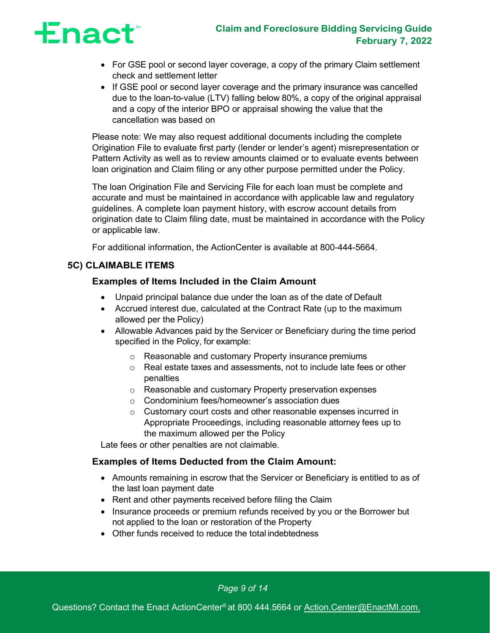## **Enact**

- For GSE pool or second layer coverage, a copy of the primary Claim settlement check and settlement letter
- If GSE pool or second layer coverage and the primary insurance was cancelled due to the loan-to-value (LTV) falling below 80%, a copy of the original appraisal and a copy of the interior BPO or appraisal showing the value that the cancellation was based on

Please note: We may also request additional documents including the complete Origination File to evaluate first party (lender or lender's agent) misrepresentation or Pattern Activity as well as to review amounts claimed or to evaluate events between loan origination and Claim filing or any other purpose permitted under the Policy.

The loan Origination File and Servicing File for each loan must be complete and accurate and must be maintained in accordance with applicable law and regulatory guidelines. A complete loan payment history, with escrow account details from origination date to Claim filing date, must be maintained in accordance with the Policy or applicable law.

For additional information, the ActionCenter is available at 800-444-5664.

### <span id="page-9-0"></span>**5C) CLAIMABLE ITEMS**

### **Examples of Items Included in the Claim Amount**

- Unpaid principal balance due under the loan as of the date of Default
- Accrued interest due, calculated at the Contract Rate (up to the maximum allowed per the Policy)
- Allowable Advances paid by the Servicer or Beneficiary during the time period specified in the Policy, for example:
	- o Reasonable and customary Property insurance premiums
	- o Real estate taxes and assessments, not to include late fees or other penalties
	- o Reasonable and customary Property preservation expenses
	- o Condominium fees/homeowner's association dues
	- o Customary court costs and other reasonable expenses incurred in Appropriate Proceedings, including reasonable attorney fees up to the maximum allowed per the Policy

Late fees or other penalties are not claimable.

### **Examples of Items Deducted from the Claim Amount:**

- Amounts remaining in escrow that the Servicer or Beneficiary is entitled to as of the last loan payment date
- Rent and other payments received before filing the Claim
- Insurance proceeds or premium refunds received by you or the Borrower but not applied to the loan or restoration of the Property
- Other funds received to reduce the total indebtedness

*Page 9 of 14*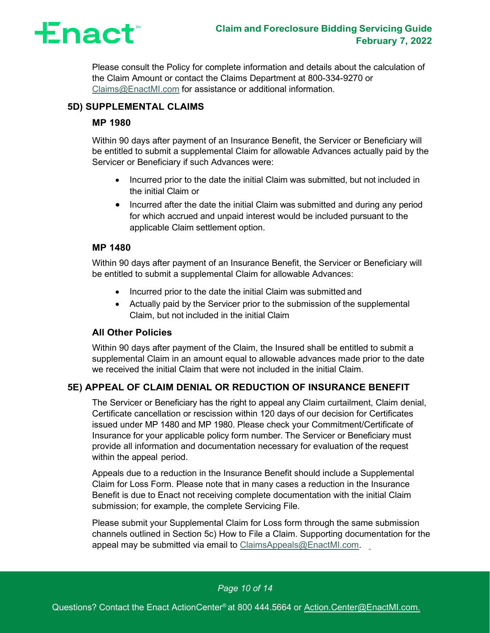

Please consult the Policy for complete information and details about the calculation of the Claim Amount or contact the Claims Department at 800-334-9270 or Claims@EnactMI.com for assistance or additional information.

### **5D) SUPPLEMENTAL CLAIMS**

### **MP 1980**

Within 90 days after payment of an Insurance Benefit, the Servicer or Beneficiary will be entitled to submit a supplemental Claim for allowable Advances actually paid by the Servicer or Beneficiary if such Advances were:

- Incurred prior to the date the initial Claim was submitted, but not included in the initial Claim or
- Incurred after the date the initial Claim was submitted and during any period for which accrued and unpaid interest would be included pursuant to the applicable Claim settlement option.

### **MP 1480**

Within 90 days after payment of an Insurance Benefit, the Servicer or Beneficiary will be entitled to submit a supplemental Claim for allowable Advances:

- Incurred prior to the date the initial Claim was submitted and
- Actually paid by the Servicer prior to the submission of the supplemental Claim, but not included in the initial Claim

### **All Other Policies**

Within 90 days after payment of the Claim, the Insured shall be entitled to submit a supplemental Claim in an amount equal to allowable advances made prior to the date we received the initial Claim that were not included in the initial Claim.

### <span id="page-10-0"></span>**5E) APPEAL OF CLAIM DENIAL OR REDUCTION OF INSURANCE BENEFIT**

The Servicer or Beneficiary has the right to appeal any Claim curtailment, Claim denial, Certificate cancellation or rescission within 120 days of our decision for Certificates issued under MP 1480 and MP 1980. Please check your Commitment/Certificate of Insurance for your applicable policy form number. The Servicer or Beneficiary must provide all information and documentation necessary for evaluation of the request within the appeal period.

Appeals due to a reduction in the Insurance Benefit should include a Supplemental Claim for Loss Form. Please note that in many cases a reduction in the Insurance Benefit is due to Enact not receiving complete documentation with the initial Claim submission; for example, the complete Servicing File.

Please submit your Supplemental Claim for Loss form through the same submission channels outlined in Section 5c) How to File a Claim. Supporting documentation for the appeal may be submitted via email to [ClaimsAppeals@EnactMI.com.](mailto:ClaimsAppeals@EnactMI.com)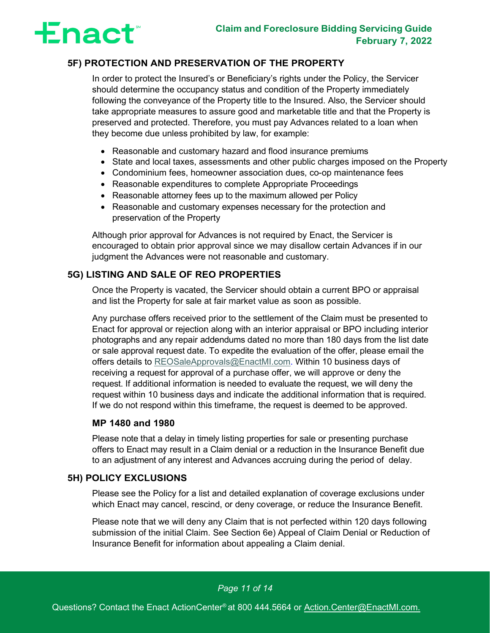

### <span id="page-11-0"></span>**5F) PROTECTION AND PRESERVATION OF THE PROPERTY**

In order to protect the Insured's or Beneficiary's rights under the Policy, the Servicer should determine the occupancy status and condition of the Property immediately following the conveyance of the Property title to the Insured. Also, the Servicer should take appropriate measures to assure good and marketable title and that the Property is preserved and protected. Therefore, you must pay Advances related to a loan when they become due unless prohibited by law, for example:

- Reasonable and customary hazard and flood insurance premiums
- State and local taxes, assessments and other public charges imposed on the Property
- Condominium fees, homeowner association dues, co-op maintenance fees
- Reasonable expenditures to complete Appropriate Proceedings
- Reasonable attorney fees up to the maximum allowed per Policy
- Reasonable and customary expenses necessary for the protection and preservation of the Property

Although prior approval for Advances is not required by Enact, the Servicer is encouraged to obtain prior approval since we may disallow certain Advances if in our judgment the Advances were not reasonable and customary.

### <span id="page-11-1"></span>**5G) LISTING AND SALE OF REO PROPERTIES**

Once the Property is vacated, the Servicer should obtain a current BPO or appraisal and list the Property for sale at fair market value as soon as possible.

Any purchase offers received prior to the settlement of the Claim must be presented to Enact for approval or rejection along with an interior appraisal or BPO including interior photographs and any repair addendums dated no more than 180 days from the list date or sale approval request date. To expedite the evaluation of the offer, please email the offers details to [REOSaleApprovals@EnactMI.com.](mailto:REOSaleApprovals@EnactMI.com) Within 10 business days of receiving a request for approval of a purchase offer, we will approve or deny the request. If additional information is needed to evaluate the request, we will deny the request within 10 business days and indicate the additional information that is required. If we do not respond within this timeframe, the request is deemed to be approved.

### **MP 1480 and 1980**

Please note that a delay in timely listing properties for sale or presenting purchase offers to Enact may result in a Claim denial or a reduction in the Insurance Benefit due to an adjustment of any interest and Advances accruing during the period of delay.

### <span id="page-11-2"></span>**5H) POLICY EXCLUSIONS**

Please see the Policy for a list and detailed explanation of coverage exclusions under which Enact may cancel, rescind, or deny coverage, or reduce the Insurance Benefit.

Please note that we will deny any Claim that is not perfected within 120 days following submission of the initial Claim. See Section 6e) Appeal of Claim Denial or Reduction of Insurance Benefit for information about appealing a Claim denial.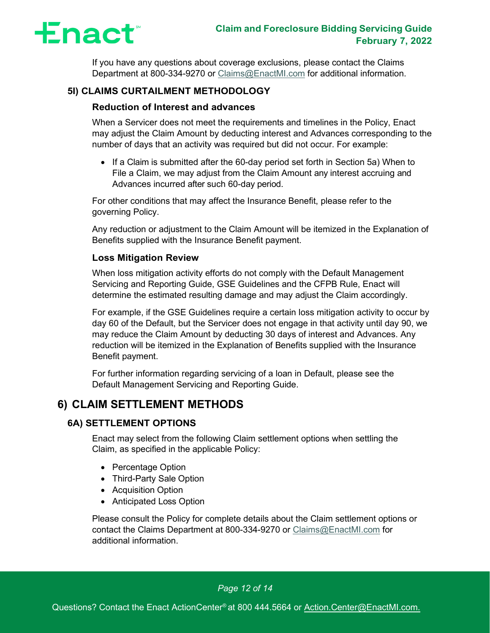

If you have any questions about coverage exclusions, please contact the Claims Department at 800-334-9270 or Claims@EnactMI.com for additional information.

### <span id="page-12-0"></span>**5I) CLAIMS CURTAILMENT METHODOLOGY**

### **Reduction of Interest and advances**

When a Servicer does not meet the requirements and timelines in the Policy, Enact may adjust the Claim Amount by deducting interest and Advances corresponding to the number of days that an activity was required but did not occur. For example:

• If a Claim is submitted after the 60-day period set forth in Section 5a) When to File a Claim, we may adjust from the Claim Amount any interest accruing and Advances incurred after such 60-day period.

For other conditions that may affect the Insurance Benefit, please refer to the governing Policy.

Any reduction or adjustment to the Claim Amount will be itemized in the Explanation of Benefits supplied with the Insurance Benefit payment.

### **Loss Mitigation Review**

When loss mitigation activity efforts do not comply with the Default Management Servicing and Reporting Guide, GSE Guidelines and the CFPB Rule, Enact will determine the estimated resulting damage and may adjust the Claim accordingly.

For example, if the GSE Guidelines require a certain loss mitigation activity to occur by day 60 of the Default, but the Servicer does not engage in that activity until day 90, we may reduce the Claim Amount by deducting 30 days of interest and Advances. Any reduction will be itemized in the Explanation of Benefits supplied with the Insurance Benefit payment.

For further information regarding servicing of a loan in Default, please see the Default Management Servicing and Reporting Guide.

### <span id="page-12-2"></span><span id="page-12-1"></span>**6) CLAIM SETTLEMENT METHODS**

### **6A) SETTLEMENT OPTIONS**

Enact may select from the following Claim settlement options when settling the Claim, as specified in the applicable Policy:

- Percentage Option
- Third-Party Sale Option
- Acquisition Option
- Anticipated Loss Option

Please consult the Policy for complete details about the Claim settlement options or contact the Claims Department at 800-334-9270 or Claims@EnactMI.com for additional information.

*Page 12 of 14*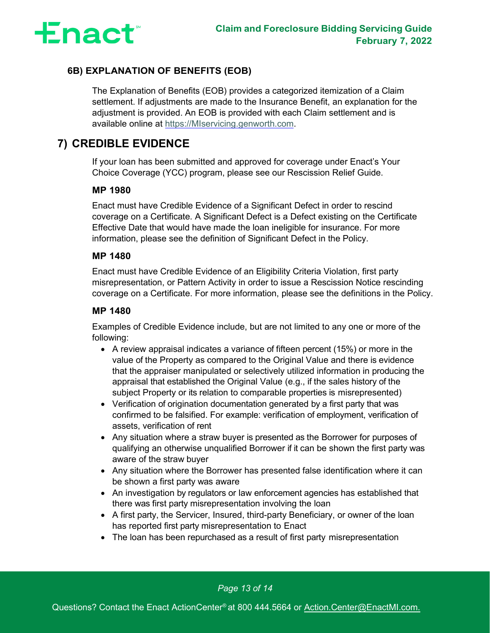

### <span id="page-13-0"></span>**6B) EXPLANATION OF BENEFITS (EOB)**

The Explanation of Benefits (EOB) provides a categorized itemization of a Claim settlement. If adjustments are made to the Insurance Benefit, an explanation for the adjustment is provided. An EOB is provided with each Claim settlement and is available online at [https://MIservicing.genworth.com.](https://miservicing.genworth.com/)

## <span id="page-13-1"></span>**7) CREDIBLE EVIDENCE**

If your loan has been submitted and approved for coverage under Enact's Your Choice Coverage (YCC) program, please see our Rescission Relief Guide.

### **MP 1980**

Enact must have Credible Evidence of a Significant Defect in order to rescind coverage on a Certificate. A Significant Defect is a Defect existing on the Certificate Effective Date that would have made the loan ineligible for insurance. For more information, please see the definition of Significant Defect in the Policy.

#### **MP 1480**

Enact must have Credible Evidence of an Eligibility Criteria Violation, first party misrepresentation, or Pattern Activity in order to issue a Rescission Notice rescinding coverage on a Certificate. For more information, please see the definitions in the Policy.

### **MP 1480**

Examples of Credible Evidence include, but are not limited to any one or more of the following:

- A review appraisal indicates a variance of fifteen percent (15%) or more in the value of the Property as compared to the Original Value and there is evidence that the appraiser manipulated or selectively utilized information in producing the appraisal that established the Original Value (e.g., if the sales history of the subject Property or its relation to comparable properties is misrepresented)
- Verification of origination documentation generated by a first party that was confirmed to be falsified. For example: verification of employment, verification of assets, verification of rent
- Any situation where a straw buyer is presented as the Borrower for purposes of qualifying an otherwise unqualified Borrower if it can be shown the first party was aware of the straw buyer
- Any situation where the Borrower has presented false identification where it can be shown a first party was aware
- An investigation by regulators or law enforcement agencies has established that there was first party misrepresentation involving the loan
- A first party, the Servicer, Insured, third-party Beneficiary, or owner of the loan has reported first party misrepresentation to Enact
- The loan has been repurchased as a result of first party misrepresentation